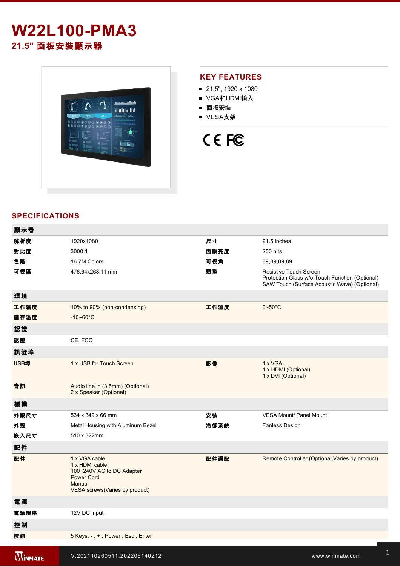## **W22L100-PMA3 21.5"** 面板安裝顯示器



#### **KEY FEATURES**

- 21.5", 1920 x 1080
- VGA和HDMI輸入
- 面板安裝
- VESA支架

# CE FC

#### **SPECIFICATIONS**

| 顯示器            |                                                                                                                                |      |                                                                                                                          |
|----------------|--------------------------------------------------------------------------------------------------------------------------------|------|--------------------------------------------------------------------------------------------------------------------------|
| 解析度            | 1920x1080                                                                                                                      | 尺寸   | 21.5 inches                                                                                                              |
| 對比度            | 3000:1                                                                                                                         | 面版亮度 | 250 nits                                                                                                                 |
| 色階             | 16.7M Colors                                                                                                                   | 可視角  | 89,89,89,89                                                                                                              |
| 可視區            | 476.64x268.11 mm                                                                                                               | 類型   | Resistive Touch Screen<br>Protection Glass w/o Touch Function (Optional)<br>SAW Touch (Surface Acoustic Wave) (Optional) |
| 環境             |                                                                                                                                |      |                                                                                                                          |
| 工作濕度           | 10% to 90% (non-condensing)                                                                                                    | 工作溫度 | $0 - 50^{\circ}$ C                                                                                                       |
| 儲存溫度           | $-10 - 60^{\circ}$ C                                                                                                           |      |                                                                                                                          |
| 認證             |                                                                                                                                |      |                                                                                                                          |
| 認證             | CE, FCC                                                                                                                        |      |                                                                                                                          |
| 訊號埠            |                                                                                                                                |      |                                                                                                                          |
| USB埠           | 1 x USB for Touch Screen                                                                                                       | 影像   | 1 x VGA<br>1 x HDMI (Optional)<br>1 x DVI (Optional)                                                                     |
| 音訊             | Audio line in (3.5mm) (Optional)<br>2 x Speaker (Optional)                                                                     |      |                                                                                                                          |
| 機構             |                                                                                                                                |      |                                                                                                                          |
| 外觀尺寸           | 534 x 349 x 66 mm                                                                                                              | 安裝   | <b>VESA Mount/ Panel Mount</b>                                                                                           |
| 外殼             | Metal Housing with Aluminum Bezel                                                                                              | 冷卻系統 | Fanless Design                                                                                                           |
| 嵌入尺寸           | 510 x 322mm                                                                                                                    |      |                                                                                                                          |
| 配件             |                                                                                                                                |      |                                                                                                                          |
| 配件             | 1 x VGA cable<br>1 x HDMI cable<br>100~240V AC to DC Adapter<br><b>Power Cord</b><br>Manual<br>VESA screws (Varies by product) | 配件選配 | Remote Controller (Optional, Varies by product)                                                                          |
| 電源             |                                                                                                                                |      |                                                                                                                          |
| 電源規格           | 12V DC input                                                                                                                   |      |                                                                                                                          |
| 控制             |                                                                                                                                |      |                                                                                                                          |
| 按鈕             | 5 Keys: -, +, Power, Esc, Enter                                                                                                |      |                                                                                                                          |
| <b>WINMATE</b> | V.202110260511.202206140212                                                                                                    |      | www.winmate.com                                                                                                          |